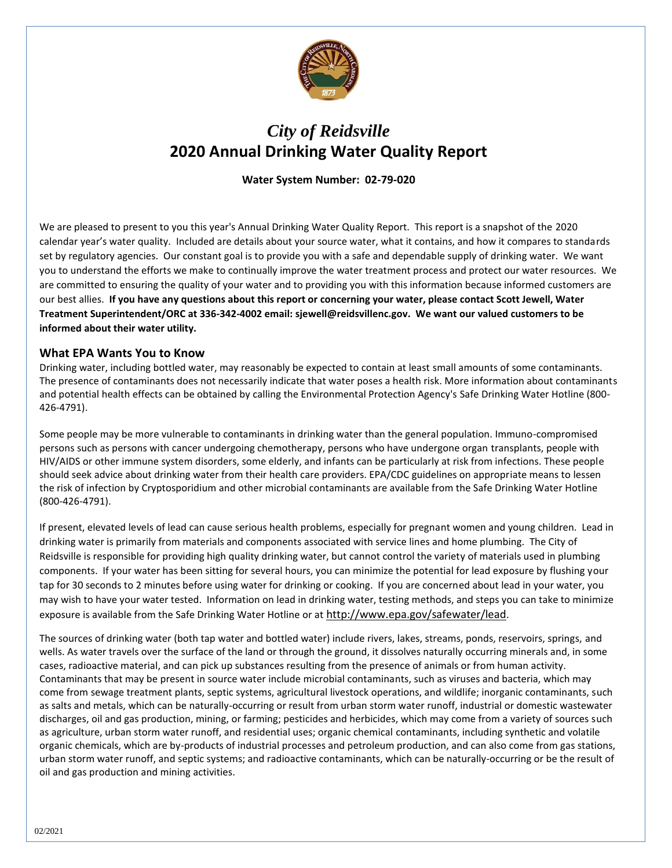

## *City of Reidsville* **2020 Annual Drinking Water Quality Report**

**Water System Number: 02-79-020**

We are pleased to present to you this year's Annual Drinking Water Quality Report. This report is a snapshot of the 2020 calendar year's water quality. Included are details about your source water, what it contains, and how it compares to standards set by regulatory agencies. Our constant goal is to provide you with a safe and dependable supply of drinking water. We want you to understand the efforts we make to continually improve the water treatment process and protect our water resources. We are committed to ensuring the quality of your water and to providing you with this information because informed customers are our best allies. **If you have any questions about this report or concerning your water, please contact Scott Jewell, Water Treatment Superintendent/ORC at 336-342-4002 email: sjewell@reidsvillenc.gov. We want our valued customers to be informed about their water utility.** 

## **What EPA Wants You to Know**

Drinking water, including bottled water, may reasonably be expected to contain at least small amounts of some contaminants. The presence of contaminants does not necessarily indicate that water poses a health risk. More information about contaminants and potential health effects can be obtained by calling the Environmental Protection Agency's Safe Drinking Water Hotline (800- 426-4791).

Some people may be more vulnerable to contaminants in drinking water than the general population. Immuno-compromised persons such as persons with cancer undergoing chemotherapy, persons who have undergone organ transplants, people with HIV/AIDS or other immune system disorders, some elderly, and infants can be particularly at risk from infections. These people should seek advice about drinking water from their health care providers. EPA/CDC guidelines on appropriate means to lessen the risk of infection by Cryptosporidium and other microbial contaminants are available from the Safe Drinking Water Hotline (800-426-4791).

If present, elevated levels of lead can cause serious health problems, especially for pregnant women and young children. Lead in drinking water is primarily from materials and components associated with service lines and home plumbing. The City of Reidsville is responsible for providing high quality drinking water, but cannot control the variety of materials used in plumbing components. If your water has been sitting for several hours, you can minimize the potential for lead exposure by flushing your tap for 30 seconds to 2 minutes before using water for drinking or cooking. If you are concerned about lead in your water, you may wish to have your water tested. Information on lead in drinking water, testing methods, and steps you can take to minimize exposure is available from the Safe Drinking Water Hotline or at <http://www.epa.gov/safewater/lead>.

The sources of drinking water (both tap water and bottled water) include rivers, lakes, streams, ponds, reservoirs, springs, and wells. As water travels over the surface of the land or through the ground, it dissolves naturally occurring minerals and, in some cases, radioactive material, and can pick up substances resulting from the presence of animals or from human activity. Contaminants that may be present in source water include microbial contaminants, such as viruses and bacteria, which may come from sewage treatment plants, septic systems, agricultural livestock operations, and wildlife; inorganic contaminants, such as salts and metals, which can be naturally-occurring or result from urban storm water runoff, industrial or domestic wastewater discharges, oil and gas production, mining, or farming; pesticides and herbicides, which may come from a variety of sources such as agriculture, urban storm water runoff, and residential uses; organic chemical contaminants, including synthetic and volatile organic chemicals, which are by-products of industrial processes and petroleum production, and can also come from gas stations, urban storm water runoff, and septic systems; and radioactive contaminants, which can be naturally-occurring or be the result of oil and gas production and mining activities.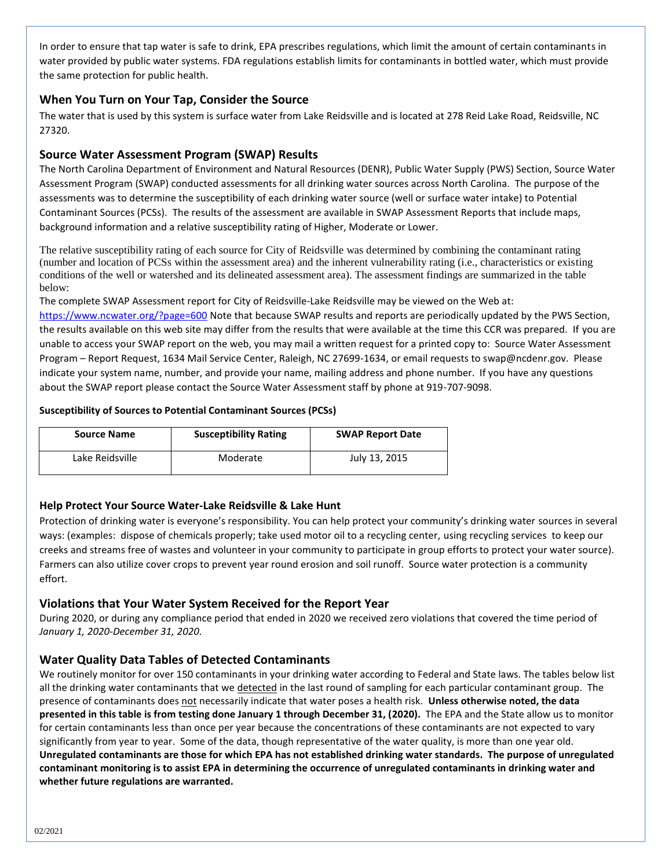In order to ensure that tap water is safe to drink, EPA prescribes regulations, which limit the amount of certain contaminants in water provided by public water systems. FDA regulations establish limits for contaminants in bottled water, which must provide the same protection for public health.

## **When You Turn on Your Tap, Consider the Source**

The water that is used by this system is surface water from Lake Reidsville and is located at 278 Reid Lake Road, Reidsville, NC 27320.

## **Source Water Assessment Program (SWAP) Results**

The North Carolina Department of Environment and Natural Resources (DENR), Public Water Supply (PWS) Section, Source Water Assessment Program (SWAP) conducted assessments for all drinking water sources across North Carolina. The purpose of the assessments was to determine the susceptibility of each drinking water source (well or surface water intake) to Potential Contaminant Sources (PCSs). The results of the assessment are available in SWAP Assessment Reports that include maps, background information and a relative susceptibility rating of Higher, Moderate or Lower.

The relative susceptibility rating of each source for City of Reidsville was determined by combining the contaminant rating (number and location of PCSs within the assessment area) and the inherent vulnerability rating (i.e., characteristics or existing conditions of the well or watershed and its delineated assessment area). The assessment findings are summarized in the table below:

The complete SWAP Assessment report for City of Reidsville-Lake Reidsville may be viewed on the Web at:

<https://www.ncwater.org/?page=600> Note that because SWAP results and reports are periodically updated by the PWS Section, the results available on this web site may differ from the results that were available at the time this CCR was prepared. If you are unable to access your SWAP report on the web, you may mail a written request for a printed copy to: Source Water Assessment Program – Report Request, 1634 Mail Service Center, Raleigh, NC 27699-1634, or email requests to swap@ncdenr.gov. Please indicate your system name, number, and provide your name, mailing address and phone number. If you have any questions about the SWAP report please contact the Source Water Assessment staff by phone at 919-707-9098.

## **Susceptibility of Sources to Potential Contaminant Sources (PCSs)**

| <b>Source Name</b> | <b>Susceptibility Rating</b> | <b>SWAP Report Date</b> |  |  |  |
|--------------------|------------------------------|-------------------------|--|--|--|
| Lake Reidsville    | Moderate                     | July 13, 2015           |  |  |  |

## **Help Protect Your Source Water-Lake Reidsville & Lake Hunt**

Protection of drinking water is everyone's responsibility. You can help protect your community's drinking water sources in several ways: (examples: dispose of chemicals properly; take used motor oil to a recycling center, using recycling services to keep our creeks and streams free of wastes and volunteer in your community to participate in group efforts to protect your water source). Farmers can also utilize cover crops to prevent year round erosion and soil runoff. Source water protection is a community effort.

## **Violations that Your Water System Received for the Report Year**

During 2020, or during any compliance period that ended in 2020 we received zero violations that covered the time period of *January 1, 2020-December 31, 2020*.

## **Water Quality Data Tables of Detected Contaminants**

We routinely monitor for over 150 contaminants in your drinking water according to Federal and State laws. The tables below list all the drinking water contaminants that we detected in the last round of sampling for each particular contaminant group. The presence of contaminants does not necessarily indicate that water poses a health risk. **Unless otherwise noted, the data presented in this table is from testing done January 1 through December 31, (2020).** The EPA and the State allow us to monitor for certain contaminants less than once per year because the concentrations of these contaminants are not expected to vary significantly from year to year. Some of the data, though representative of the water quality, is more than one year old. **Unregulated contaminants are those for which EPA has not established drinking water standards. The purpose of unregulated contaminant monitoring is to assist EPA in determining the occurrence of unregulated contaminants in drinking water and whether future regulations are warranted.**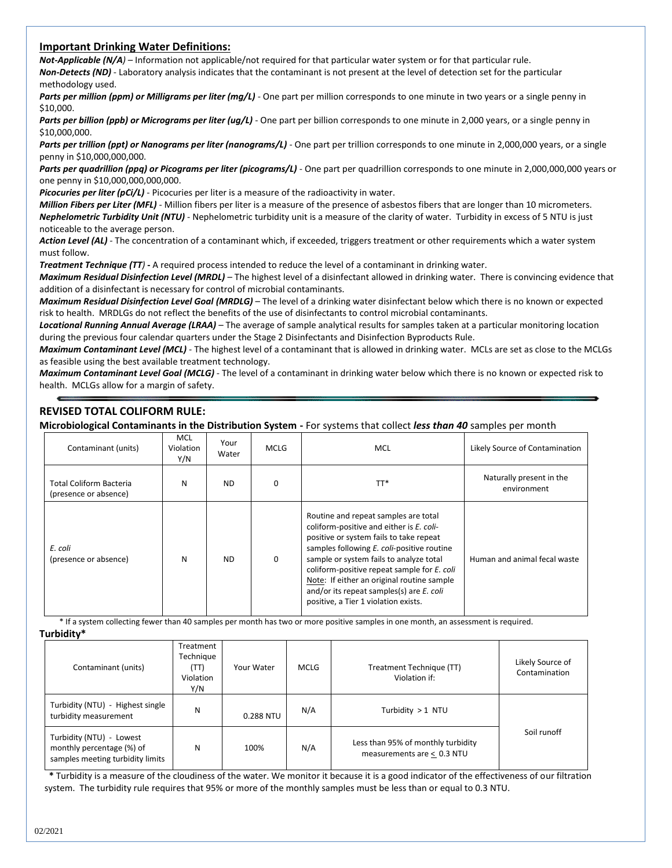#### **Important Drinking Water Definitions:**

*Not-Applicable (N/A)* – Information not applicable/not required for that particular water system or for that particular rule. *Non-Detects (ND)* - Laboratory analysis indicates that the contaminant is not present at the level of detection set for the particular methodology used.

Parts per million (ppm) or Milligrams per liter (mg/L) - One part per million corresponds to one minute in two years or a single penny in \$10,000.

Parts per billion (ppb) or Micrograms per liter (ug/L) - One part per billion corresponds to one minute in 2,000 years, or a single penny in \$10,000,000.

Parts per trillion (ppt) or Nanograms per liter (nanograms/L) - One part per trillion corresponds to one minute in 2,000,000 years, or a single penny in \$10,000,000,000.

Parts per quadrillion (ppq) or Picograms per liter (picograms/L) - One part per quadrillion corresponds to one minute in 2,000,000,000 years or one penny in \$10,000,000,000,000.

*Picocuries per liter (pCi/L)* - Picocuries per liter is a measure of the radioactivity in water.

*Million Fibers per Liter (MFL)* - Million fibers per liter is a measure of the presence of asbestos fibers that are longer than 10 micrometers. *Nephelometric Turbidity Unit (NTU)* - Nephelometric turbidity unit is a measure of the clarity of water. Turbidity in excess of 5 NTU is just noticeable to the average person.

*Action Level (AL) -* The concentration of a contaminant which, if exceeded, triggers treatment or other requirements which a water system must follow.

*Treatment Technique (TT)* **-** A required process intended to reduce the level of a contaminant in drinking water.

*Maximum Residual Disinfection Level (MRDL)* – The highest level of a disinfectant allowed in drinking water. There is convincing evidence that addition of a disinfectant is necessary for control of microbial contaminants.

*Maximum Residual Disinfection Level Goal (MRDLG)* – The level of a drinking water disinfectant below which there is no known or expected risk to health. MRDLGs do not reflect the benefits of the use of disinfectants to control microbial contaminants.

*Locational Running Annual Average (LRAA)* – The average of sample analytical results for samples taken at a particular monitoring location during the previous four calendar quarters under the Stage 2 Disinfectants and Disinfection Byproducts Rule.

*Maximum Contaminant Level (MCL)* - The highest level of a contaminant that is allowed in drinking water. MCLs are set as close to the MCLGs as feasible using the best available treatment technology.

*Maximum Contaminant Level Goal (MCLG)* - The level of a contaminant in drinking water below which there is no known or expected risk to health. MCLGs allow for a margin of safety.

## **REVISED TOTAL COLIFORM RULE:**

**Microbiological Contaminants in the Distribution System -** For systems that collect *less than 40* samples per month

| Contaminant (units)                                     | <b>MCL</b><br>Violation<br>Y/N | Your<br>Water | <b>MCLG</b> | MCL                                                                                                                                                                                                                                                                                                                                                                                                   | Likely Source of Contamination          |
|---------------------------------------------------------|--------------------------------|---------------|-------------|-------------------------------------------------------------------------------------------------------------------------------------------------------------------------------------------------------------------------------------------------------------------------------------------------------------------------------------------------------------------------------------------------------|-----------------------------------------|
| <b>Total Coliform Bacteria</b><br>(presence or absence) | N                              | <b>ND</b>     | 0           | TT*                                                                                                                                                                                                                                                                                                                                                                                                   | Naturally present in the<br>environment |
| E. coli<br>(presence or absence)                        | N                              | <b>ND</b>     | 0           | Routine and repeat samples are total<br>coliform-positive and either is E. coli-<br>positive or system fails to take repeat<br>samples following E. coli-positive routine<br>sample or system fails to analyze total<br>coliform-positive repeat sample for E. coli<br>Note: If either an original routine sample<br>and/or its repeat samples(s) are E. coli<br>positive, a Tier 1 violation exists. | Human and animal fecal waste            |

\* If a system collecting fewer than 40 samples per month has two or more positive samples in one month, an assessment is required. **Turbidity\*** 

| Contaminant (units)                                                                            | Treatment<br>Technique<br>(TT)<br>Violation<br>Y/N | Your Water | <b>MCLG</b>                                                             | Treatment Technique (TT)<br>Violation if: | Likely Source of<br>Contamination |
|------------------------------------------------------------------------------------------------|----------------------------------------------------|------------|-------------------------------------------------------------------------|-------------------------------------------|-----------------------------------|
| Turbidity (NTU) - Highest single<br>turbidity measurement                                      | N                                                  | 0.288 NTU  | N/A                                                                     | Turbidity $> 1$ NTU                       |                                   |
| Turbidity (NTU) - Lowest<br>monthly percentage (%) of<br>N<br>samples meeting turbidity limits |                                                    | 100%       | Less than 95% of monthly turbidity<br>N/A<br>measurements are < 0.3 NTU |                                           | Soil runoff                       |

 **\*** Turbidity is a measure of the cloudiness of the water. We monitor it because it is a good indicator of the effectiveness of our filtration system. The turbidity rule requires that 95% or more of the monthly samples must be less than or equal to 0.3 NTU.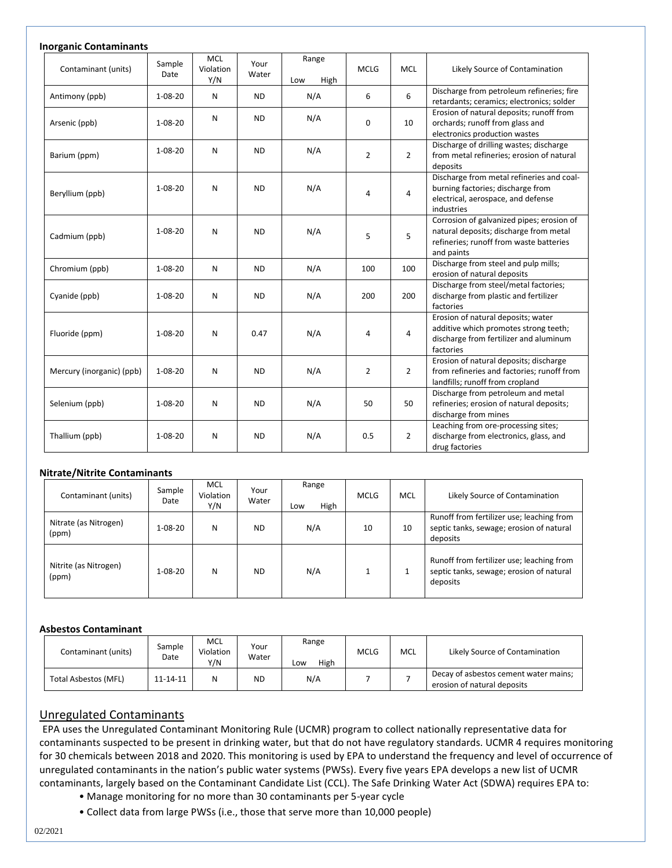| <b>Inorganic Contaminants</b> |                |                                |               |                      |                |                |                                                                                                                                              |  |
|-------------------------------|----------------|--------------------------------|---------------|----------------------|----------------|----------------|----------------------------------------------------------------------------------------------------------------------------------------------|--|
| Contaminant (units)           | Sample<br>Date | <b>MCL</b><br>Violation<br>Y/N | Your<br>Water | Range<br>High<br>Low | <b>MCLG</b>    | <b>MCL</b>     | Likely Source of Contamination                                                                                                               |  |
| Antimony (ppb)                | $1 - 08 - 20$  | N                              | <b>ND</b>     | N/A                  | 6              | 6              | Discharge from petroleum refineries; fire<br>retardants; ceramics; electronics; solder                                                       |  |
| Arsenic (ppb)                 | $1 - 08 - 20$  | N                              | <b>ND</b>     | N/A                  | 0              | 10             | Erosion of natural deposits; runoff from<br>orchards; runoff from glass and<br>electronics production wastes                                 |  |
| Barium (ppm)                  | $1 - 08 - 20$  | N                              | <b>ND</b>     | N/A                  | $\overline{2}$ | $\overline{2}$ | Discharge of drilling wastes; discharge<br>from metal refineries; erosion of natural<br>deposits                                             |  |
| Beryllium (ppb)               | $1 - 08 - 20$  | N                              | <b>ND</b>     | N/A                  | 4              | 4              | Discharge from metal refineries and coal-<br>burning factories; discharge from<br>electrical, aerospace, and defense<br>industries           |  |
| Cadmium (ppb)                 | $1 - 08 - 20$  | N                              | <b>ND</b>     | N/A                  | 5              | 5              | Corrosion of galvanized pipes; erosion of<br>natural deposits; discharge from metal<br>refineries; runoff from waste batteries<br>and paints |  |
| Chromium (ppb)                | $1 - 08 - 20$  | ${\sf N}$                      | <b>ND</b>     | N/A                  | 100            | 100            | Discharge from steel and pulp mills;<br>erosion of natural deposits                                                                          |  |
| Cyanide (ppb)                 | $1 - 08 - 20$  | N                              | <b>ND</b>     | N/A                  | 200            | 200            | Discharge from steel/metal factories;<br>discharge from plastic and fertilizer<br>factories                                                  |  |
| Fluoride (ppm)                | $1 - 08 - 20$  | N                              | 0.47          | N/A                  | 4              | 4              | Erosion of natural deposits; water<br>additive which promotes strong teeth;<br>discharge from fertilizer and aluminum<br>factories           |  |
| Mercury (inorganic) (ppb)     | $1 - 08 - 20$  | N                              | <b>ND</b>     | N/A                  | 2              | 2              | Erosion of natural deposits; discharge<br>from refineries and factories; runoff from<br>landfills; runoff from cropland                      |  |
| Selenium (ppb)                | $1 - 08 - 20$  | N                              | <b>ND</b>     | N/A                  | 50             | 50             | Discharge from petroleum and metal<br>refineries; erosion of natural deposits;<br>discharge from mines                                       |  |
| Thallium (ppb)                | $1 - 08 - 20$  | N                              | <b>ND</b>     | N/A                  | 0.5            | $\overline{2}$ | Leaching from ore-processing sites;<br>discharge from electronics, glass, and<br>drug factories                                              |  |

#### **Nitrate/Nitrite Contaminants**

| Contaminant (units)            | Sample<br>Date | <b>MCL</b><br>Violation<br>Y/N | Your<br>Water | Range<br>High<br>Low | <b>MCLG</b> | <b>MCL</b> | Likely Source of Contamination                                                                    |
|--------------------------------|----------------|--------------------------------|---------------|----------------------|-------------|------------|---------------------------------------------------------------------------------------------------|
| Nitrate (as Nitrogen)<br>(ppm) | 1-08-20        | N                              | <b>ND</b>     | N/A                  | 10          | 10         | Runoff from fertilizer use; leaching from<br>septic tanks, sewage; erosion of natural<br>deposits |
| Nitrite (as Nitrogen)<br>(ppm) | $1 - 08 - 20$  | N                              | <b>ND</b>     | N/A                  |             |            | Runoff from fertilizer use; leaching from<br>septic tanks, sewage; erosion of natural<br>deposits |

#### **Asbestos Contaminant**

| Contaminant (units)  | Sample<br>Date | MCL<br>Violation<br>Y/N | Your<br>Water | Range<br>High<br>Low | <b>MCLG</b> | <b>MCL</b> | Likely Source of Contamination                                       |
|----------------------|----------------|-------------------------|---------------|----------------------|-------------|------------|----------------------------------------------------------------------|
| Total Asbestos (MFL) | 11-14-11       | N                       | ND            | N/A                  |             |            | Decay of asbestos cement water mains;<br>erosion of natural deposits |

## Unregulated Contaminants

EPA uses the Unregulated Contaminant Monitoring Rule (UCMR) program to collect nationally representative data for contaminants suspected to be present in drinking water, but that do not have regulatory standards. UCMR 4 requires monitoring for 30 chemicals between 2018 and 2020. This monitoring is used by EPA to understand the frequency and level of occurrence of unregulated contaminants in the nation's public water systems (PWSs). Every five years EPA develops a new list of UCMR contaminants, largely based on the Contaminant Candidate List (CCL). The Safe Drinking Water Act (SDWA) requires EPA to:

- Manage monitoring for no more than 30 contaminants per 5-year cycle
- Collect data from large PWSs (i.e., those that serve more than 10,000 people)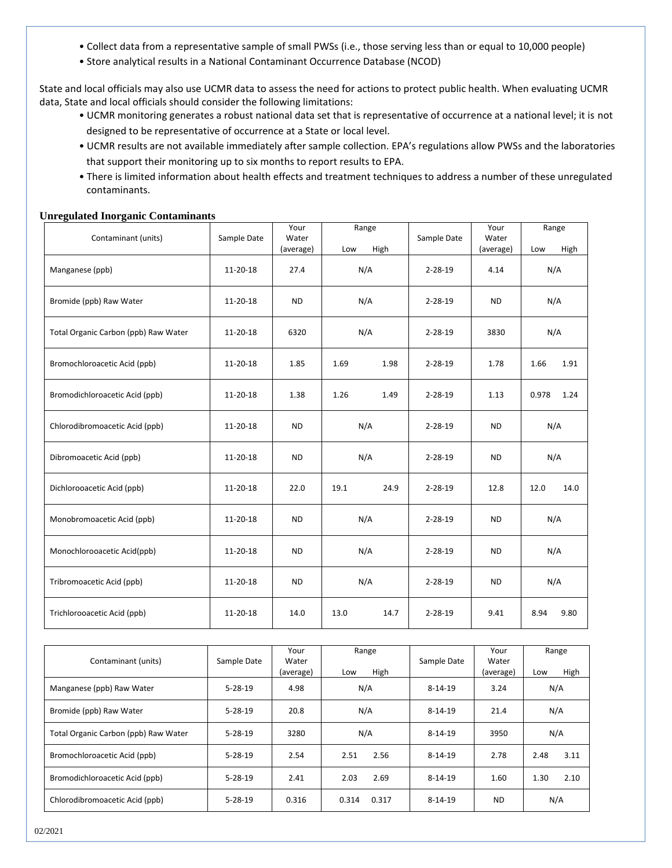- Collect data from a representative sample of small PWSs (i.e., those serving less than or equal to 10,000 people)
- Store analytical results in a National Contaminant Occurrence Database (NCOD)

State and local officials may also use UCMR data to assess the need for actions to protect public health. When evaluating UCMR data, State and local officials should consider the following limitations:

- UCMR monitoring generates a robust national data set that is representative of occurrence at a national level; it is not designed to be representative of occurrence at a State or local level.
- UCMR results are not available immediately after sample collection. EPA's regulations allow PWSs and the laboratories that support their monitoring up to six months to report results to EPA.
- There is limited information about health effects and treatment techniques to address a number of these unregulated contaminants.

**Unregulated Inorganic Contaminants** 

|                                      |             | Your      | Range        |               | Your      | Range         |  |
|--------------------------------------|-------------|-----------|--------------|---------------|-----------|---------------|--|
| Contaminant (units)                  | Sample Date | Water     |              | Sample Date   | Water     |               |  |
|                                      |             | (average) | High<br>Low  |               | (average) | High<br>Low   |  |
| Manganese (ppb)                      | 11-20-18    | 27.4      | N/A          | $2 - 28 - 19$ | 4.14      | N/A           |  |
| Bromide (ppb) Raw Water              | 11-20-18    | <b>ND</b> | N/A          | $2 - 28 - 19$ | <b>ND</b> | N/A           |  |
| Total Organic Carbon (ppb) Raw Water | 11-20-18    | 6320      | N/A          | $2 - 28 - 19$ | 3830      | N/A           |  |
| Bromochloroacetic Acid (ppb)         | 11-20-18    | 1.85      | 1.69<br>1.98 | $2 - 28 - 19$ | 1.78      | 1.66<br>1.91  |  |
| Bromodichloroacetic Acid (ppb)       | 11-20-18    | 1.38      | 1.26<br>1.49 | $2 - 28 - 19$ | 1.13      | 0.978<br>1.24 |  |
| Chlorodibromoacetic Acid (ppb)       | 11-20-18    | <b>ND</b> | N/A          | $2 - 28 - 19$ | <b>ND</b> | N/A           |  |
| Dibromoacetic Acid (ppb)             | 11-20-18    | ND.       | N/A          | $2 - 28 - 19$ | ND.       | N/A           |  |
| Dichlorooacetic Acid (ppb)           | 11-20-18    | 22.0      | 24.9<br>19.1 | $2 - 28 - 19$ | 12.8      | 12.0<br>14.0  |  |
| Monobromoacetic Acid (ppb)           | 11-20-18    | <b>ND</b> | N/A          | $2 - 28 - 19$ | <b>ND</b> | N/A           |  |
| Monochlorooacetic Acid(ppb)          | 11-20-18    | <b>ND</b> | N/A          | $2 - 28 - 19$ | <b>ND</b> | N/A           |  |
| Tribromoacetic Acid (ppb)            | 11-20-18    | <b>ND</b> | N/A          | $2 - 28 - 19$ | <b>ND</b> | N/A           |  |
| Trichlorooacetic Acid (ppb)          | 11-20-18    | 14.0      | 13.0<br>14.7 | $2 - 28 - 19$ | 9.41      | 8.94<br>9.80  |  |

| Contaminant (units)                  | Sample Date   | Your<br>Water<br>(average) | Range<br>High<br>Low | Sample Date   | Your<br>Water<br>(average) | Range<br>High<br>Low |
|--------------------------------------|---------------|----------------------------|----------------------|---------------|----------------------------|----------------------|
| Manganese (ppb) Raw Water            | $5 - 28 - 19$ | 4.98                       | N/A                  | $8 - 14 - 19$ | 3.24                       | N/A                  |
| Bromide (ppb) Raw Water              | $5 - 28 - 19$ | 20.8                       | N/A                  | $8 - 14 - 19$ | 21.4                       | N/A                  |
| Total Organic Carbon (ppb) Raw Water | $5 - 28 - 19$ | 3280                       | N/A                  | $8 - 14 - 19$ | 3950                       | N/A                  |
| Bromochloroacetic Acid (ppb)         | $5 - 28 - 19$ | 2.54                       | 2.56<br>2.51         | $8 - 14 - 19$ | 2.78                       | 2.48<br>3.11         |
| Bromodichloroacetic Acid (ppb)       | $5 - 28 - 19$ | 2.41                       | 2.69<br>2.03         | $8 - 14 - 19$ | 1.60                       | 1.30<br>2.10         |
| Chlorodibromoacetic Acid (ppb)       | $5 - 28 - 19$ | 0.316                      | 0.314<br>0.317       | $8 - 14 - 19$ | <b>ND</b>                  | N/A                  |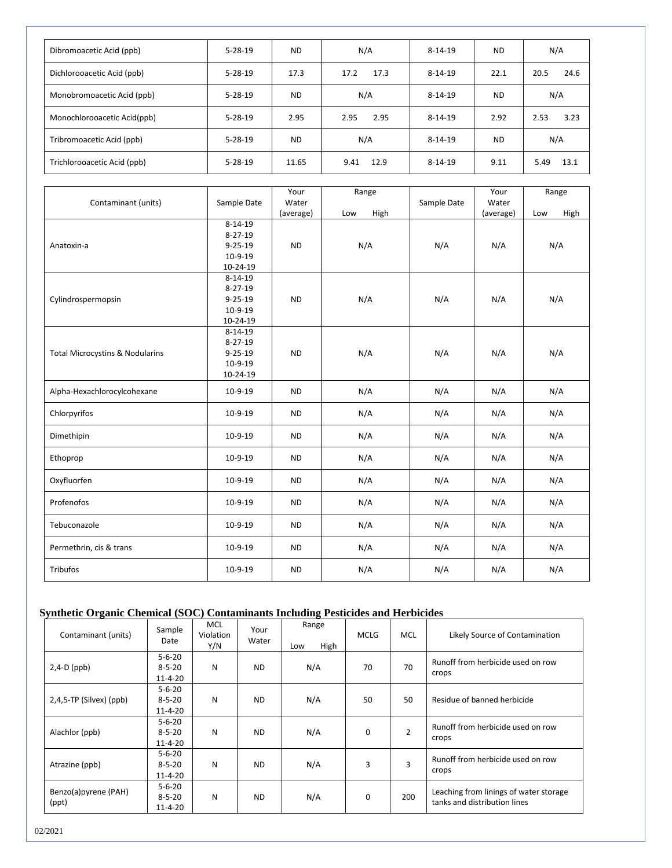| Dibromoacetic Acid (ppb)    | $5 - 28 - 19$ | <b>ND</b> | N/A          | $8 - 14 - 19$ | <b>ND</b> | N/A          |
|-----------------------------|---------------|-----------|--------------|---------------|-----------|--------------|
| Dichlorooacetic Acid (ppb)  | $5 - 28 - 19$ | 17.3      | 17.3<br>17.2 | $8 - 14 - 19$ | 22.1      | 20.5<br>24.6 |
| Monobromoacetic Acid (ppb)  | $5 - 28 - 19$ | <b>ND</b> | N/A          | $8 - 14 - 19$ | <b>ND</b> | N/A          |
| Monochlorooacetic Acid(ppb) | $5 - 28 - 19$ | 2.95      | 2.95<br>2.95 | $8 - 14 - 19$ | 2.92      | 2.53<br>3.23 |
| Tribromoacetic Acid (ppb)   | $5 - 28 - 19$ | <b>ND</b> | N/A          | $8 - 14 - 19$ | <b>ND</b> | N/A          |
| Trichlorooacetic Acid (ppb) | $5 - 28 - 19$ | 11.65     | 12.9<br>9.41 | $8 - 14 - 19$ | 9.11      | 13.1<br>5.49 |

|                                            |               | Your      | Range       |             | Your      | Range       |  |
|--------------------------------------------|---------------|-----------|-------------|-------------|-----------|-------------|--|
| Contaminant (units)                        | Sample Date   | Water     |             | Sample Date | Water     |             |  |
|                                            | $8 - 14 - 19$ | (average) | High<br>Low |             | (average) | High<br>Low |  |
|                                            | $8 - 27 - 19$ |           |             |             |           |             |  |
| Anatoxin-a                                 | $9 - 25 - 19$ | <b>ND</b> | N/A         | N/A         | N/A       | N/A         |  |
|                                            | $10-9-19$     |           |             |             |           |             |  |
|                                            | 10-24-19      |           |             |             |           |             |  |
|                                            | $8 - 14 - 19$ |           |             |             |           |             |  |
|                                            | $8 - 27 - 19$ |           |             |             |           |             |  |
| Cylindrospermopsin                         | $9 - 25 - 19$ | <b>ND</b> | N/A         | N/A         | N/A       | N/A         |  |
|                                            | $10-9-19$     |           |             |             |           |             |  |
|                                            | 10-24-19      |           |             |             |           |             |  |
|                                            | $8 - 14 - 19$ |           |             |             |           |             |  |
|                                            | $8 - 27 - 19$ |           |             |             |           |             |  |
| <b>Total Microcystins &amp; Nodularins</b> | $9 - 25 - 19$ | <b>ND</b> | N/A         | N/A         | N/A       | N/A         |  |
|                                            | $10-9-19$     |           |             |             |           |             |  |
|                                            | 10-24-19      |           |             |             |           |             |  |
| Alpha-Hexachlorocylcohexane                | $10-9-19$     | <b>ND</b> | N/A         | N/A         | N/A       | N/A         |  |
| Chlorpyrifos                               | $10-9-19$     | <b>ND</b> | N/A         | N/A         | N/A       | N/A         |  |
| Dimethipin                                 | $10-9-19$     | <b>ND</b> | N/A         | N/A         | N/A       | N/A         |  |
| Ethoprop                                   | $10-9-19$     | <b>ND</b> | N/A         | N/A         | N/A       | N/A         |  |
| Oxyfluorfen                                | 10-9-19       | <b>ND</b> | N/A         | N/A         | N/A       | N/A         |  |
| Profenofos                                 | $10-9-19$     | <b>ND</b> | N/A         | N/A         | N/A       | N/A         |  |
| Tebuconazole                               | $10-9-19$     | <b>ND</b> | N/A         | N/A         | N/A       | N/A         |  |
| Permethrin, cis & trans                    | 10-9-19       | <b>ND</b> | N/A         | N/A         | N/A       | N/A         |  |
| Tribufos                                   | $10-9-19$     | <b>ND</b> | N/A         | N/A         | N/A       | N/A         |  |

## **Synthetic Organic Chemical (SOC) Contaminants Including Pesticides and Herbicides**

| Contaminant (units)           | Sample<br>Date                                | <b>MCL</b><br>Violation<br>Y/N | Your<br>Water | Range<br>High<br>Low | <b>MCLG</b> | <b>MCL</b> | Likely Source of Contamination                                         |
|-------------------------------|-----------------------------------------------|--------------------------------|---------------|----------------------|-------------|------------|------------------------------------------------------------------------|
| $2,4-D$ (ppb)                 | $5 - 6 - 20$<br>$8 - 5 - 20$<br>$11 - 4 - 20$ | N                              | <b>ND</b>     | N/A                  | 70          | 70         | Runoff from herbicide used on row<br>crops                             |
| $2,4,5$ -TP (Silvex) (ppb)    | $5 - 6 - 20$<br>$8 - 5 - 20$<br>$11 - 4 - 20$ | Ν                              | <b>ND</b>     | N/A                  | 50          | 50         | Residue of banned herbicide                                            |
| Alachlor (ppb)                | $5 - 6 - 20$<br>$8 - 5 - 20$<br>$11 - 4 - 20$ | Ν                              | <b>ND</b>     | N/A                  | 0           | 2          | Runoff from herbicide used on row<br>crops                             |
| Atrazine (ppb)                | $5 - 6 - 20$<br>$8 - 5 - 20$<br>$11 - 4 - 20$ | N                              | <b>ND</b>     | N/A                  | 3           | 3          | Runoff from herbicide used on row<br>crops                             |
| Benzo(a)pyrene (PAH)<br>(ppt) | $5 - 6 - 20$<br>$8 - 5 - 20$<br>11-4-20       | N                              | <b>ND</b>     | N/A                  | 0           | 200        | Leaching from linings of water storage<br>tanks and distribution lines |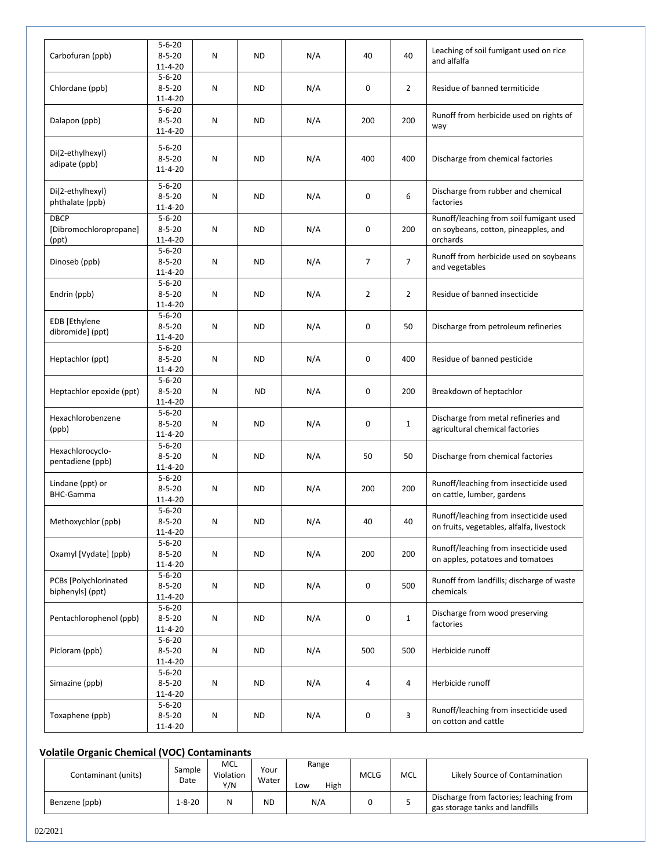| Carbofuran (ppb)                               | $5 - 6 - 20$<br>$8 - 5 - 20$<br>$11 - 4 - 20$ | N | <b>ND</b> | N/A | 40             | 40             | Leaching of soil fumigant used on rice<br>and alfalfa                                       |
|------------------------------------------------|-----------------------------------------------|---|-----------|-----|----------------|----------------|---------------------------------------------------------------------------------------------|
| Chlordane (ppb)                                | $5 - 6 - 20$<br>$8 - 5 - 20$<br>$11 - 4 - 20$ | N | <b>ND</b> | N/A | 0              | $\overline{2}$ | Residue of banned termiticide                                                               |
| Dalapon (ppb)                                  | $5 - 6 - 20$<br>$8 - 5 - 20$<br>$11 - 4 - 20$ | Ν | <b>ND</b> | N/A | 200            | 200            | Runoff from herbicide used on rights of<br>way                                              |
| Di(2-ethylhexyl)<br>adipate (ppb)              | $5 - 6 - 20$<br>$8 - 5 - 20$<br>$11 - 4 - 20$ | N | <b>ND</b> | N/A | 400            | 400            | Discharge from chemical factories                                                           |
| Di(2-ethylhexyl)<br>phthalate (ppb)            | $5 - 6 - 20$<br>$8 - 5 - 20$<br>$11 - 4 - 20$ | N | <b>ND</b> | N/A | 0              | 6              | Discharge from rubber and chemical<br>factories                                             |
| <b>DBCP</b><br>[Dibromochloropropane]<br>(ppt) | $5 - 6 - 20$<br>$8 - 5 - 20$<br>$11 - 4 - 20$ | Ν | <b>ND</b> | N/A | 0              | 200            | Runoff/leaching from soil fumigant used<br>on soybeans, cotton, pineapples, and<br>orchards |
| Dinoseb (ppb)                                  | $5 - 6 - 20$<br>$8 - 5 - 20$<br>$11 - 4 - 20$ | Ν | ND        | N/A | $\overline{7}$ | $\overline{7}$ | Runoff from herbicide used on soybeans<br>and vegetables                                    |
| Endrin (ppb)                                   | $5 - 6 - 20$<br>$8 - 5 - 20$<br>$11 - 4 - 20$ | N | <b>ND</b> | N/A | $\overline{2}$ | $\overline{2}$ | Residue of banned insecticide                                                               |
| EDB [Ethylene<br>dibromide] (ppt)              | $5 - 6 - 20$<br>$8 - 5 - 20$<br>$11 - 4 - 20$ | Ν | ND        | N/A | 0              | 50             | Discharge from petroleum refineries                                                         |
| Heptachlor (ppt)                               | $5 - 6 - 20$<br>$8 - 5 - 20$<br>$11 - 4 - 20$ | N | <b>ND</b> | N/A | 0              | 400            | Residue of banned pesticide                                                                 |
| Heptachlor epoxide (ppt)                       | $5 - 6 - 20$<br>$8 - 5 - 20$<br>$11 - 4 - 20$ | Ν | <b>ND</b> | N/A | 0              | 200            | Breakdown of heptachlor                                                                     |
| Hexachlorobenzene<br>(ppb)                     | $5 - 6 - 20$<br>$8 - 5 - 20$<br>$11 - 4 - 20$ | Ν | <b>ND</b> | N/A | $\mathbf 0$    | $\mathbf{1}$   | Discharge from metal refineries and<br>agricultural chemical factories                      |
| Hexachlorocyclo-<br>pentadiene (ppb)           | $5 - 6 - 20$<br>$8 - 5 - 20$<br>$11 - 4 - 20$ | Ν | <b>ND</b> | N/A | 50             | 50             | Discharge from chemical factories                                                           |
| Lindane (ppt) or<br><b>BHC-Gamma</b>           | $5 - 6 - 20$<br>$8 - 5 - 20$<br>$11 - 4 - 20$ | Ν | ND        | N/A | 200            | 200            | Runoff/leaching from insecticide used<br>on cattle, lumber, gardens                         |
| Methoxychlor (ppb)                             | $5 - 6 - 20$<br>$8 - 5 - 20$<br>$11 - 4 - 20$ | Ν | ND        | N/A | 40             | 40             | Runoff/leaching from insecticide used<br>on fruits, vegetables, alfalfa, livestock          |
| Oxamyl [Vydate] (ppb)                          | $5 - 6 - 20$<br>$8 - 5 - 20$<br>$11 - 4 - 20$ | Ν | <b>ND</b> | N/A | 200            | 200            | Runoff/leaching from insecticide used<br>on apples, potatoes and tomatoes                   |
| PCBs [Polychlorinated<br>biphenyls] (ppt)      | $5 - 6 - 20$<br>$8 - 5 - 20$<br>$11 - 4 - 20$ | N | <b>ND</b> | N/A | 0              | 500            | Runoff from landfills; discharge of waste<br>chemicals                                      |
| Pentachlorophenol (ppb)                        | $5 - 6 - 20$<br>$8 - 5 - 20$<br>$11 - 4 - 20$ | Ν | <b>ND</b> | N/A | 0              | $\mathbf{1}$   | Discharge from wood preserving<br>factories                                                 |
| Picloram (ppb)                                 | $5 - 6 - 20$<br>$8 - 5 - 20$<br>$11 - 4 - 20$ | Ν | <b>ND</b> | N/A | 500            | 500            | Herbicide runoff                                                                            |
| Simazine (ppb)                                 | $5 - 6 - 20$<br>$8 - 5 - 20$<br>$11 - 4 - 20$ | N | <b>ND</b> | N/A | 4              | 4              | Herbicide runoff                                                                            |
| Toxaphene (ppb)                                | $5 - 6 - 20$<br>$8 - 5 - 20$<br>$11 - 4 - 20$ | Ν | ND        | N/A | 0              | 3              | Runoff/leaching from insecticide used<br>on cotton and cattle                               |

#### **Volatile Organic Chemical (VOC) Contaminants**

| Contaminant (units) | Sample<br>Date | <b>MCL</b><br>Violation<br>Y/N | Your<br>Water | Range<br>High<br>Low | <b>MCLG</b> | <b>MCL</b> | Likely Source of Contamination                                             |
|---------------------|----------------|--------------------------------|---------------|----------------------|-------------|------------|----------------------------------------------------------------------------|
| Benzene (ppb)       | $1 - 8 - 20$   | Ν                              | <b>ND</b>     | N/A                  |             | ۔          | Discharge from factories; leaching from<br>gas storage tanks and landfills |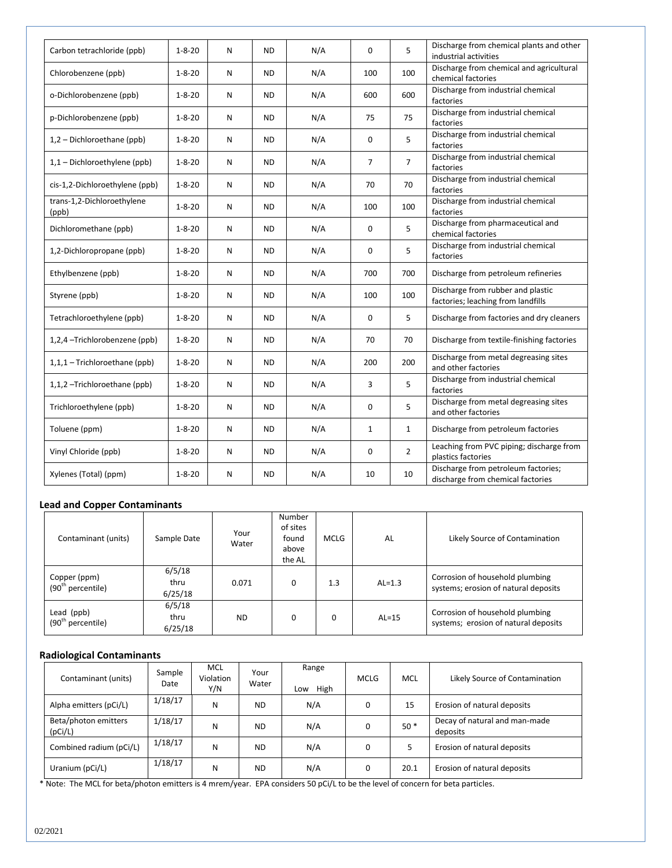| Carbon tetrachloride (ppb)          | $1 - 8 - 20$ | N | <b>ND</b> | N/A | $\Omega$     | 5              | Discharge from chemical plants and other<br>industrial activities        |
|-------------------------------------|--------------|---|-----------|-----|--------------|----------------|--------------------------------------------------------------------------|
| Chlorobenzene (ppb)                 | $1 - 8 - 20$ | N | <b>ND</b> | N/A | 100          | 100            | Discharge from chemical and agricultural<br>chemical factories           |
| o-Dichlorobenzene (ppb)             | $1 - 8 - 20$ | N | <b>ND</b> | N/A | 600          | 600            | Discharge from industrial chemical<br>factories                          |
| p-Dichlorobenzene (ppb)             | $1 - 8 - 20$ | N | <b>ND</b> | N/A | 75           | 75             | Discharge from industrial chemical<br>factories                          |
| 1,2 - Dichloroethane (ppb)          | $1 - 8 - 20$ | N | <b>ND</b> | N/A | $\Omega$     | 5              | Discharge from industrial chemical<br>factories                          |
| 1,1 - Dichloroethylene (ppb)        | $1 - 8 - 20$ | N | <b>ND</b> | N/A | 7            | $\overline{7}$ | Discharge from industrial chemical<br>factories                          |
| cis-1,2-Dichloroethylene (ppb)      | $1 - 8 - 20$ | N | <b>ND</b> | N/A | 70           | 70             | Discharge from industrial chemical<br>factories                          |
| trans-1,2-Dichloroethylene<br>(ppb) | $1 - 8 - 20$ | N | <b>ND</b> | N/A | 100          | 100            | Discharge from industrial chemical<br>factories                          |
| Dichloromethane (ppb)               | $1 - 8 - 20$ | N | <b>ND</b> | N/A | 0            | 5              | Discharge from pharmaceutical and<br>chemical factories                  |
| 1,2-Dichloropropane (ppb)           | $1 - 8 - 20$ | N | <b>ND</b> | N/A | 0            | 5              | Discharge from industrial chemical<br>factories                          |
| Ethylbenzene (ppb)                  | $1 - 8 - 20$ | N | <b>ND</b> | N/A | 700          | 700            | Discharge from petroleum refineries                                      |
| Styrene (ppb)                       | $1 - 8 - 20$ | N | <b>ND</b> | N/A | 100          | 100            | Discharge from rubber and plastic<br>factories; leaching from landfills  |
| Tetrachloroethylene (ppb)           | $1 - 8 - 20$ | N | <b>ND</b> | N/A | 0            | 5              | Discharge from factories and dry cleaners                                |
| 1,2,4 -Trichlorobenzene (ppb)       | $1 - 8 - 20$ | N | <b>ND</b> | N/A | 70           | 70             | Discharge from textile-finishing factories                               |
| 1,1,1 - Trichloroethane (ppb)       | $1 - 8 - 20$ | N | <b>ND</b> | N/A | 200          | 200            | Discharge from metal degreasing sites<br>and other factories             |
| 1,1,2-Trichloroethane (ppb)         | $1 - 8 - 20$ | N | <b>ND</b> | N/A | 3            | 5              | Discharge from industrial chemical<br>factories                          |
| Trichloroethylene (ppb)             | $1 - 8 - 20$ | N | <b>ND</b> | N/A | 0            | 5              | Discharge from metal degreasing sites<br>and other factories             |
| Toluene (ppm)                       | $1 - 8 - 20$ | N | <b>ND</b> | N/A | $\mathbf{1}$ | $\mathbf{1}$   | Discharge from petroleum factories                                       |
| Vinyl Chloride (ppb)                | $1 - 8 - 20$ | N | <b>ND</b> | N/A | 0            | $\overline{2}$ | Leaching from PVC piping; discharge from<br>plastics factories           |
| Xylenes (Total) (ppm)               | $1 - 8 - 20$ | N | <b>ND</b> | N/A | 10           | 10             | Discharge from petroleum factories;<br>discharge from chemical factories |

## **Lead and Copper Contaminants**

| Contaminant (units)                           | Sample Date               | Your<br>Water | Number<br>of sites<br>found<br>above<br>the AL | <b>MCLG</b> | AL       | Likely Source of Contamination                                          |
|-----------------------------------------------|---------------------------|---------------|------------------------------------------------|-------------|----------|-------------------------------------------------------------------------|
| Copper (ppm)<br>(90 <sup>th</sup> percentile) | 6/5/18<br>thru<br>6/25/18 | 0.071         | $\Omega$                                       | 1.3         | $AL=1.3$ | Corrosion of household plumbing<br>systems; erosion of natural deposits |
| Lead (ppb)<br>(90 <sup>th</sup> percentile)   | 6/5/18<br>thru<br>6/25/18 | <b>ND</b>     |                                                | 0           | $AL=15$  | Corrosion of household plumbing<br>systems; erosion of natural deposits |

## **Radiological Contaminants**

| Contaminant (units)             | Sample<br>Date | <b>MCL</b><br>Violation<br>Y/N | Your<br>Water | Range<br>High<br>Low | MCLG | MCL   | Likely Source of Contamination            |
|---------------------------------|----------------|--------------------------------|---------------|----------------------|------|-------|-------------------------------------------|
| Alpha emitters (pCi/L)          | 1/18/17        | Ν                              | <b>ND</b>     | N/A                  | 0    | 15    | Erosion of natural deposits               |
| Beta/photon emitters<br>(pCi/L) | 1/18/17        | и                              | <b>ND</b>     | N/A                  | 0    | $50*$ | Decay of natural and man-made<br>deposits |
| Combined radium (pCi/L)         | 1/18/17        | и                              | <b>ND</b>     | N/A                  | 0    |       | Erosion of natural deposits               |
| Uranium (pCi/L)                 | 1/18/17        | и                              | <b>ND</b>     | N/A                  | 0    | 20.1  | Erosion of natural deposits               |

\* Note: The MCL for beta/photon emitters is 4 mrem/year. EPA considers 50 pCi/L to be the level of concern for beta particles.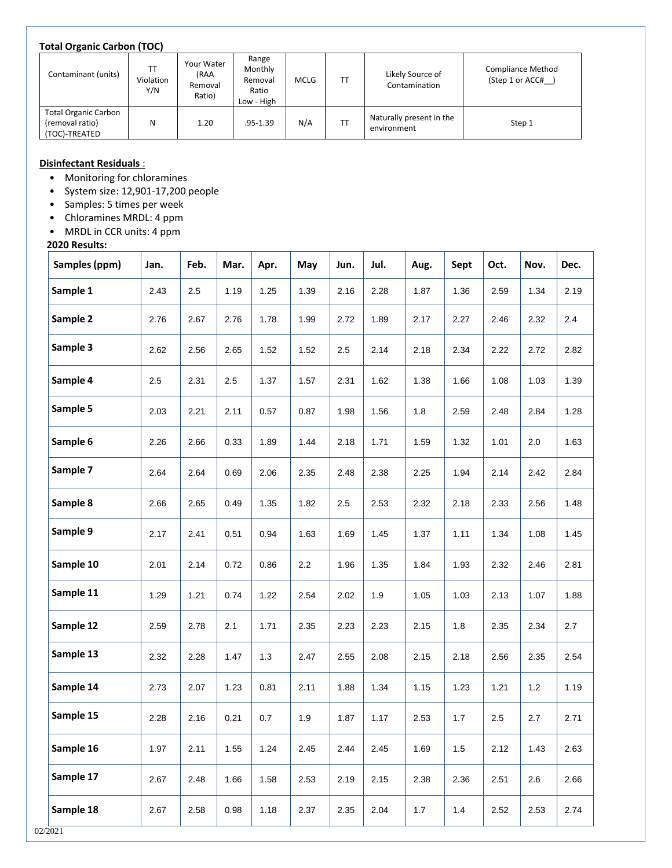#### **Total Organic Carbon (TOC)**

| . .                                                             |                  |                                         |                                                    |             |    |                                         |                                              |
|-----------------------------------------------------------------|------------------|-----------------------------------------|----------------------------------------------------|-------------|----|-----------------------------------------|----------------------------------------------|
| Contaminant (units)                                             | Violation<br>Y/N | Your Water<br>(RAA<br>Removal<br>Ratio) | Range<br>Monthly<br>Removal<br>Ratio<br>Low - High | <b>MCLG</b> | TT | Likely Source of<br>Contamination       | <b>Compliance Method</b><br>(Step 1 or ACC#) |
| <b>Total Organic Carbon</b><br>(removal ratio)<br>(TOC)-TREATED | N                | 1.20                                    | .95-1.39                                           | N/A         | TT | Naturally present in the<br>environment | Step 1                                       |

## **Disinfectant Residuals** :

- Monitoring for chloramines
- System size: 12,901-17,200 people
- Samples: 5 times per week
- Chloramines MRDL: 4 ppm
- MRDL in CCR units: 4 ppm

## **2020 Results:**

| Samples (ppm) | Jan. | Feb. | Mar. | Apr. | May  | Jun. | Jul. | Aug. | Sept | Oct. | Nov. | Dec. |
|---------------|------|------|------|------|------|------|------|------|------|------|------|------|
| Sample 1      | 2.43 | 2.5  | 1.19 | 1.25 | 1.39 | 2.16 | 2.28 | 1.87 | 1.36 | 2.59 | 1.34 | 2.19 |
| Sample 2      | 2.76 | 2.67 | 2.76 | 1.78 | 1.99 | 2.72 | 1.89 | 2.17 | 2.27 | 2.46 | 2.32 | 2.4  |
| Sample 3      | 2.62 | 2.56 | 2.65 | 1.52 | 1.52 | 2.5  | 2.14 | 2.18 | 2.34 | 2.22 | 2.72 | 2.82 |
| Sample 4      | 2.5  | 2.31 | 2.5  | 1.37 | 1.57 | 2.31 | 1.62 | 1.38 | 1.66 | 1.08 | 1.03 | 1.39 |
| Sample 5      | 2.03 | 2.21 | 2.11 | 0.57 | 0.87 | 1.98 | 1.56 | 1.8  | 2.59 | 2.48 | 2.84 | 1.28 |
| Sample 6      | 2.26 | 2.66 | 0.33 | 1.89 | 1.44 | 2.18 | 1.71 | 1.59 | 1.32 | 1.01 | 2.0  | 1.63 |
| Sample 7      | 2.64 | 2.64 | 0.69 | 2.06 | 2.35 | 2.48 | 2.38 | 2.25 | 1.94 | 2.14 | 2.42 | 2.84 |
| Sample 8      | 2.66 | 2.65 | 0.49 | 1.35 | 1.82 | 2.5  | 2.53 | 2.32 | 2.18 | 2.33 | 2.56 | 1.48 |
| Sample 9      | 2.17 | 2.41 | 0.51 | 0.94 | 1.63 | 1.69 | 1.45 | 1.37 | 1.11 | 1.34 | 1.08 | 1.45 |
| Sample 10     | 2.01 | 2.14 | 0.72 | 0.86 | 2.2  | 1.96 | 1.35 | 1.84 | 1.93 | 2.32 | 2.46 | 2.81 |
| Sample 11     | 1.29 | 1.21 | 0.74 | 1.22 | 2.54 | 2.02 | 1.9  | 1.05 | 1.03 | 2.13 | 1.07 | 1.88 |
| Sample 12     | 2.59 | 2.78 | 2.1  | 1.71 | 2.35 | 2.23 | 2.23 | 2.15 | 1.8  | 2.35 | 2.34 | 2.7  |
| Sample 13     | 2.32 | 2.28 | 1.47 | 1.3  | 2.47 | 2.55 | 2.08 | 2.15 | 2.18 | 2.56 | 2.35 | 2.54 |
| Sample 14     | 2.73 | 2.07 | 1.23 | 0.81 | 2.11 | 1.88 | 1.34 | 1.15 | 1.23 | 1.21 | 1.2  | 1.19 |
| Sample 15     | 2.28 | 2.16 | 0.21 | 0.7  | 1.9  | 1.87 | 1.17 | 2.53 | 1.7  | 2.5  | 2.7  | 2.71 |
| Sample 16     | 1.97 | 2.11 | 1.55 | 1.24 | 2.45 | 2.44 | 2.45 | 1.69 | 1.5  | 2.12 | 1.43 | 2.63 |
| Sample 17     | 2.67 | 2.48 | 1.66 | 1.58 | 2.53 | 2.19 | 2.15 | 2.38 | 2.36 | 2.51 | 2.6  | 2.66 |
| Sample 18     | 2.67 | 2.58 | 0.98 | 1.18 | 2.37 | 2.35 | 2.04 | 1.7  | 1.4  | 2.52 | 2.53 | 2.74 |
| 2021          |      |      |      |      |      |      |      |      |      |      |      |      |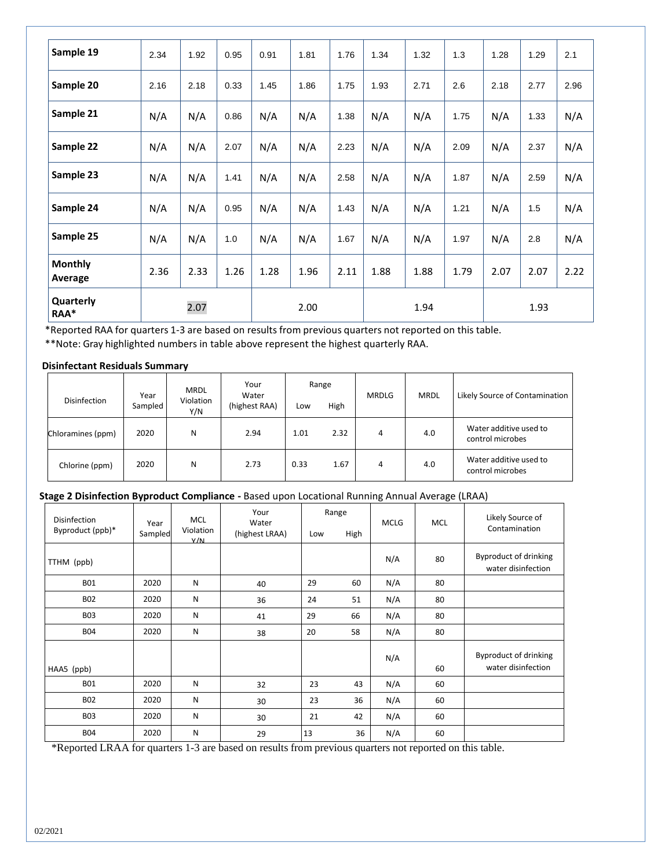| Sample 19                 | 2.34 | 1.92 | 0.95 | 0.91 | 1.81 | 1.76 | 1.34 | 1.32 | 1.3  | 1.28 | 1.29 | 2.1  |
|---------------------------|------|------|------|------|------|------|------|------|------|------|------|------|
| Sample 20                 | 2.16 | 2.18 | 0.33 | 1.45 | 1.86 | 1.75 | 1.93 | 2.71 | 2.6  | 2.18 | 2.77 | 2.96 |
| Sample 21                 | N/A  | N/A  | 0.86 | N/A  | N/A  | 1.38 | N/A  | N/A  | 1.75 | N/A  | 1.33 | N/A  |
| Sample 22                 | N/A  | N/A  | 2.07 | N/A  | N/A  | 2.23 | N/A  | N/A  | 2.09 | N/A  | 2.37 | N/A  |
| Sample 23                 | N/A  | N/A  | 1.41 | N/A  | N/A  | 2.58 | N/A  | N/A  | 1.87 | N/A  | 2.59 | N/A  |
| Sample 24                 | N/A  | N/A  | 0.95 | N/A  | N/A  | 1.43 | N/A  | N/A  | 1.21 | N/A  | 1.5  | N/A  |
| Sample 25                 | N/A  | N/A  | 1.0  | N/A  | N/A  | 1.67 | N/A  | N/A  | 1.97 | N/A  | 2.8  | N/A  |
| <b>Monthly</b><br>Average | 2.36 | 2.33 | 1.26 | 1.28 | 1.96 | 2.11 | 1.88 | 1.88 | 1.79 | 2.07 | 2.07 | 2.22 |
| Quarterly<br>RAA*         |      | 2.07 |      |      | 2.00 |      |      | 1.94 |      |      | 1.93 |      |

\*Reported RAA for quarters 1-3 are based on results from previous quarters not reported on this table.

\*\*Note: Gray highlighted numbers in table above represent the highest quarterly RAA.

#### **Disinfectant Residuals Summary**

| <b>Disinfection</b> | Year<br>Sampled | <b>MRDL</b><br>Violation | Your<br>Water | Range |      | <b>MRDLG</b> | <b>MRDL</b> | Likely Source of Contamination             |  |
|---------------------|-----------------|--------------------------|---------------|-------|------|--------------|-------------|--------------------------------------------|--|
|                     |                 | Y/N                      | (highest RAA) | Low   | High |              |             |                                            |  |
| Chloramines (ppm)   | 2020            | N                        | 2.94          | 1.01  | 2.32 | 4            | 4.0         | Water additive used to<br>control microbes |  |
| Chlorine (ppm)      | 2020            | N                        | 2.73          | 0.33  | 1.67 | 4            | 4.0         | Water additive used to<br>control microbes |  |

## **Stage 2 Disinfection Byproduct Compliance -** Based upon Locational Running Annual Average (LRAA)

| Disinfection<br>Byproduct (ppb)* | Year<br>Sampled | <b>MCL</b><br>Violation<br>V/N | Your<br>Water<br>(highest LRAA) | Range<br>High<br>Low |    | <b>MCLG</b> | <b>MCL</b> | Likely Source of<br>Contamination                  |
|----------------------------------|-----------------|--------------------------------|---------------------------------|----------------------|----|-------------|------------|----------------------------------------------------|
| TTHM (ppb)                       |                 |                                |                                 |                      |    | N/A         | 80         | Byproduct of drinking<br>water disinfection        |
| <b>B01</b>                       | 2020            | N                              | 40                              | 29                   | 60 | N/A         | 80         |                                                    |
| <b>B02</b>                       | 2020            | N                              | 36                              | 24                   | 51 | N/A         | 80         |                                                    |
| <b>B03</b>                       | 2020            | ${\sf N}$                      | 41                              | 29                   | 66 | N/A         | 80         |                                                    |
| <b>B04</b>                       | 2020            | N                              | 38                              | 20                   | 58 | N/A         | 80         |                                                    |
| HAA5 (ppb)                       |                 |                                |                                 |                      |    | N/A         | 60         | <b>Byproduct of drinking</b><br>water disinfection |
| <b>B01</b>                       | 2020            | N                              | 32                              | 23                   | 43 | N/A         | 60         |                                                    |
| <b>B02</b>                       | 2020            | N                              | 30                              | 23                   | 36 | N/A         | 60         |                                                    |
| <b>B03</b>                       | 2020            | N                              | 30                              | 21                   | 42 | N/A         | 60         |                                                    |
| <b>B04</b>                       | 2020            | N                              | 29                              | 13                   | 36 | N/A         | 60         |                                                    |

\*Reported LRAA for quarters 1-3 are based on results from previous quarters not reported on this table.